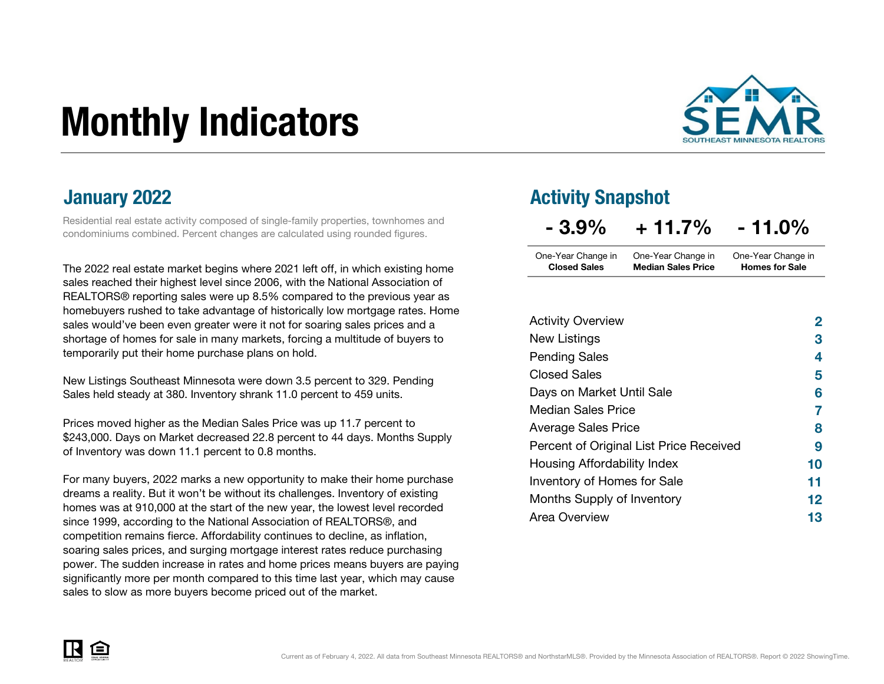# Monthly Indicators



### January 2022

Residential real estate activity composed of single-family properties, townhomes and condominiums combined. Percent changes are calculated using rounded figures.

The 2022 real estate market begins where 2021 left off, in which existing home sales reached their highest level since 2006, with the National Association of REALTORS® reporting sales were up 8.5% compared to the previous year as homebuyers rushed to take advantage of historically low mortgage rates. Homesales would've been even greater were it not for soaring sales prices and a shortage of homes for sale in many markets, forcing a multitude of buyers totemporarily put their home purchase plans on hold.

New Listings Southeast Minnesota were down 3.5 percent to 329. Pending Sales held steady at 380. Inventory shrank 11.0 percent to 459 units.

Prices moved higher as the Median Sales Price was up 11.7 percent to \$243,000. Days on Market decreased 22.8 percent to 44 days. Months Supply of Inventory was down 11.1 percent to 0.8 months.

For many buyers, 2022 marks a new opportunity to make their home purchasedreams a reality. But it won't be without its challenges. Inventory of existing homes was at 910,000 at the start of the new year, the lowest level recordedsince 1999, according to the National Association of REALTORS®, and competition remains fierce. Affordability continues to decline, as inflation, soaring sales prices, and surging mortgage interest rates reduce purchasing power. The sudden increase in rates and home prices means buyers are paying significantly more per month compared to this time last year, which may cause sales to slow as more buyers become priced out of the market.

### Activity Snapshot

| $-3.9\%$            | $+11.7%$                  | $-11.0\%$             |
|---------------------|---------------------------|-----------------------|
| One-Year Change in  | One-Year Change in        | One-Year Change in    |
| <b>Closed Sales</b> | <b>Median Sales Price</b> | <b>Homes for Sale</b> |

| <b>Activity Overview</b>                | 2  |
|-----------------------------------------|----|
| New Listings                            | 3  |
| <b>Pending Sales</b>                    | 4  |
| <b>Closed Sales</b>                     | 5  |
| Days on Market Until Sale               | 6  |
| <b>Median Sales Price</b>               | 7  |
| <b>Average Sales Price</b>              | 8  |
| Percent of Original List Price Received | 9  |
| Housing Affordability Index             | 10 |
| Inventory of Homes for Sale             | 11 |
| Months Supply of Inventory              | 12 |
| Area Overview                           | 13 |

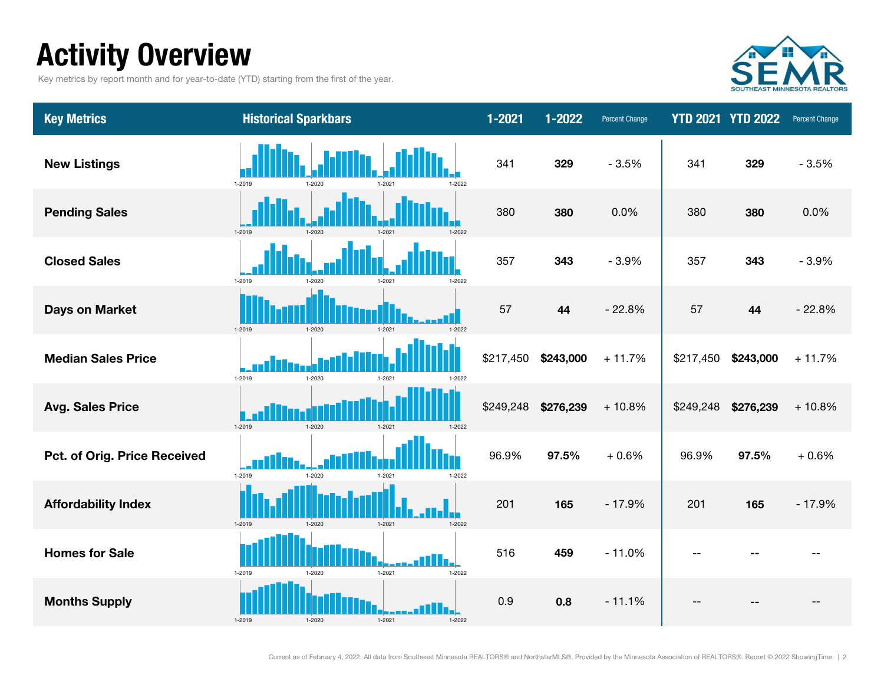# Activity Overview

Key metrics by report month and for year-to-date (YTD) starting from the first of the year.



| <b>Key Metrics</b>           | <b>Historical Sparkbars</b>                      | $1 - 2021$ | 1-2022    | <b>Percent Change</b> |           | <b>YTD 2021 YTD 2022</b> | Percent Change |
|------------------------------|--------------------------------------------------|------------|-----------|-----------------------|-----------|--------------------------|----------------|
| <b>New Listings</b>          | 1-2019<br>$1 - 202$<br>$1 - 202$<br>1-2022       | 341        | 329       | $-3.5%$               | 341       | 329                      | $-3.5%$        |
| <b>Pending Sales</b>         | 1-2019<br>$1 - 2020$<br>1.2021<br>1-2022         | 380        | 380       | 0.0%                  | 380       | 380                      | 0.0%           |
| <b>Closed Sales</b>          | 1-2019<br>1.2020<br>1.2021<br>1-2022             | 357        | 343       | $-3.9%$               | 357       | 343                      | $-3.9%$        |
| <b>Days on Market</b>        | $1 - 2019$<br>$1 - 2021$<br>$1 - 2020$<br>1-2022 | 57         | 44        | $-22.8%$              | 57        | 44                       | $-22.8%$       |
| <b>Median Sales Price</b>    | 1-2019<br>1-2020<br>1.202 <sup>-</sup><br>1-2022 | \$217,450  | \$243,000 | $+11.7%$              | \$217,450 | \$243,000                | $+11.7%$       |
| <b>Avg. Sales Price</b>      | 1-2019<br>1-2020<br>$1 - 202$<br>$1 - 2022$      | \$249,248  | \$276,239 | $+10.8%$              | \$249,248 | \$276,239                | $+10.8%$       |
| Pct. of Orig. Price Received | 1-2019<br>1-2020<br>1-2022<br>1.2021             | 96.9%      | 97.5%     | $+0.6%$               | 96.9%     | 97.5%                    | $+0.6%$        |
| <b>Affordability Index</b>   | 1-2019<br>1-2021<br>1-2020<br>1-2022             | 201        | 165       | $-17.9%$              | 201       | 165                      | $-17.9%$       |
| <b>Homes for Sale</b>        | 1-2019<br>$1 - 2021$<br>$1 - 2022$<br>1-2020     | 516        | 459       | $-11.0%$              | $\sim$    |                          |                |
| <b>Months Supply</b>         | 1-2019<br>$1 - 2021$<br>1-2020<br>1-2022         | 0.9        | 0.8       | $-11.1%$              |           |                          |                |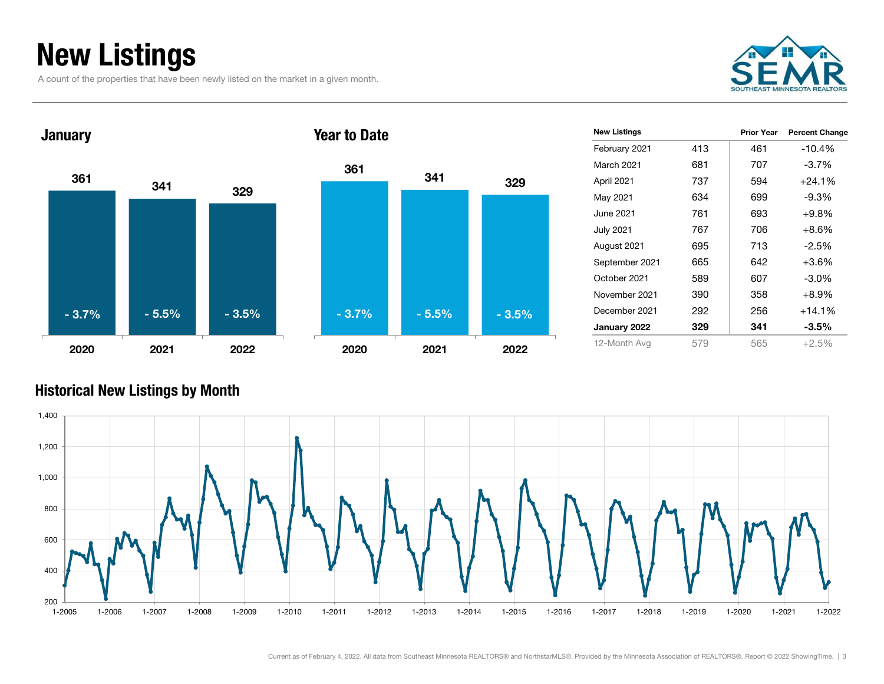# New Listings

A count of the properties that have been newly listed on the market in a given month.





| <b>New Listings</b> |     | <b>Prior Year</b> | <b>Percent Change</b> |
|---------------------|-----|-------------------|-----------------------|
| February 2021       | 413 | 461               | $-10.4%$              |
| <b>March 2021</b>   | 681 | 707               | $-3.7%$               |
| April 2021          | 737 | 594               | $+24.1%$              |
| May 2021            | 634 | 699               | $-9.3\%$              |
| June 2021           | 761 | 693               | $+9.8\%$              |
| <b>July 2021</b>    | 767 | 706               | $+8.6%$               |
| August 2021         | 695 | 713               | $-2.5%$               |
| September 2021      | 665 | 642               | $+3.6%$               |
| October 2021        | 589 | 607               | $-3.0\%$              |
| November 2021       | 390 | 358               | $+8.9%$               |
| December 2021       | 292 | 256               | $+14.1%$              |
| January 2022        | 329 | 341               | $-3.5\%$              |
| 12-Month Avg        | 579 | 565               | $+2.5%$               |
|                     |     |                   |                       |

### Historical New Listings by Month



329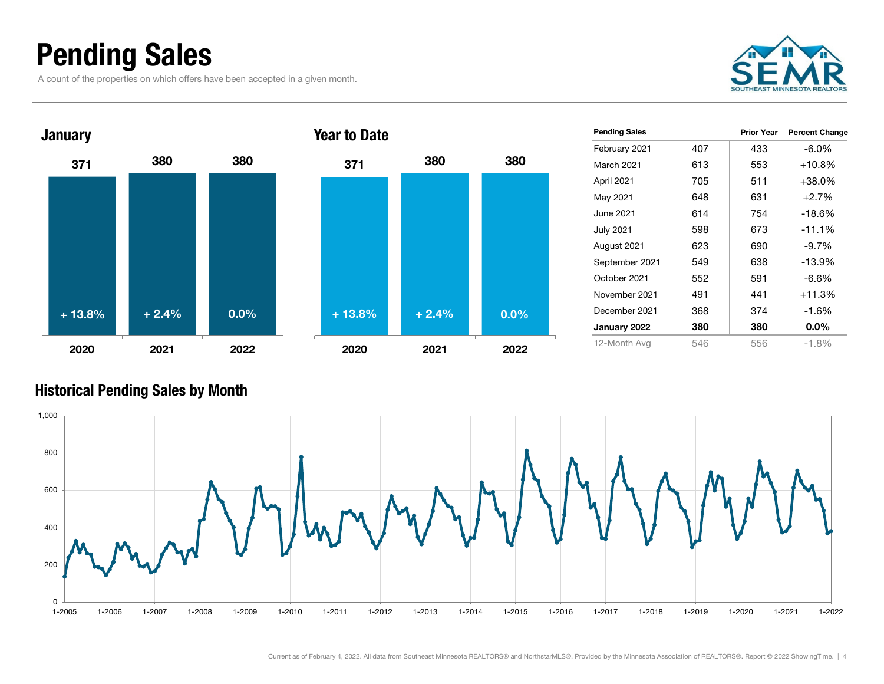### Pending Sales

A count of the properties on which offers have been accepted in a given month.





| <b>Pending Sales</b> |     | <b>Prior Year</b> | <b>Percent Change</b> |
|----------------------|-----|-------------------|-----------------------|
| February 2021        | 407 | 433               | -6.0%                 |
| March 2021           | 613 | 553               | $+10.8%$              |
| April 2021           | 705 | 511               | $+38.0\%$             |
| May 2021             | 648 | 631               | $+2.7%$               |
| June 2021.           | 614 | 754               | $-18.6%$              |
| <b>July 2021</b>     | 598 | 673               | $-11.1%$              |
| August 2021          | 623 | 690               | $-9.7\%$              |
| September 2021       | 549 | 638               | $-13.9%$              |
| October 2021         | 552 | 591               | -6.6%                 |
| November 2021        | 491 | 441               | $+11.3%$              |
| December 2021        | 368 | 374               | $-1.6%$               |
| January 2022         | 380 | 380               | $0.0\%$               |
| 12-Month Avg         | 546 | 556               | $-1.8%$               |

### Historical Pending Sales by Month

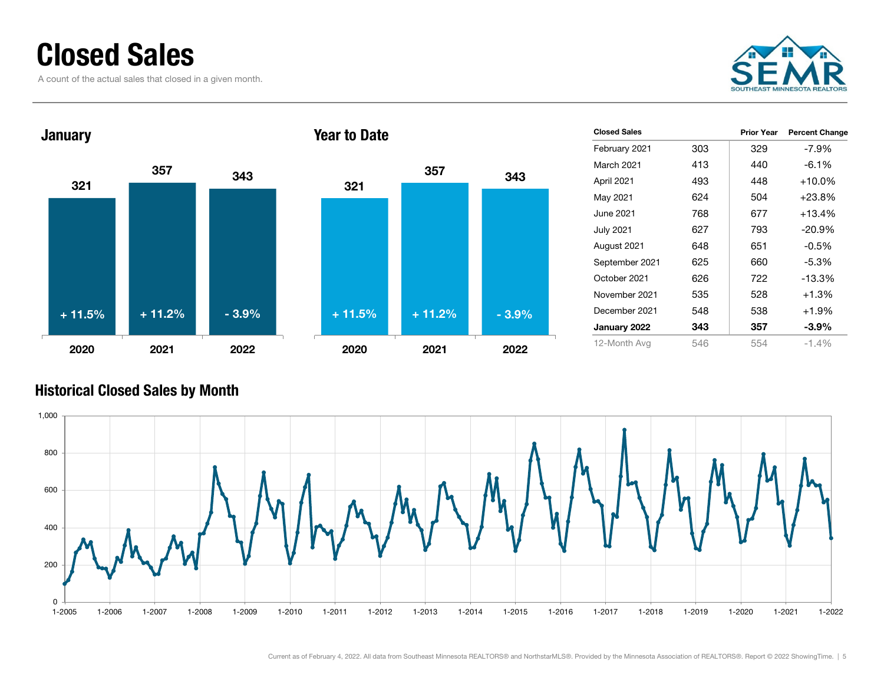### Closed Sales

A count of the actual sales that closed in a given month.





| <b>Closed Sales</b> |     | <b>Prior Year</b> | <b>Percent Change</b> |
|---------------------|-----|-------------------|-----------------------|
| February 2021       | 303 | 329               | $-7.9\%$              |
| March 2021          | 413 | 440               | $-6.1\%$              |
| April 2021          | 493 | 448               | $+10.0\%$             |
| May 2021            | 624 | 504               | $+23.8\%$             |
| June 2021.          | 768 | 677               | $+13.4%$              |
| <b>July 2021</b>    | 627 | 793               | $-20.9%$              |
| August 2021         | 648 | 651               | $-0.5%$               |
| September 2021      | 625 | 660               | $-5.3\%$              |
| October 2021        | 626 | 722               | $-13.3%$              |
| November 2021       | 535 | 528               | $+1.3%$               |
| December 2021       | 548 | 538               | $+1.9%$               |
| January 2022        | 343 | 357               | $-3.9\%$              |
| 12-Month Avg        | 546 | 554               | $-1.4%$               |

### Historical Closed Sales by Month



343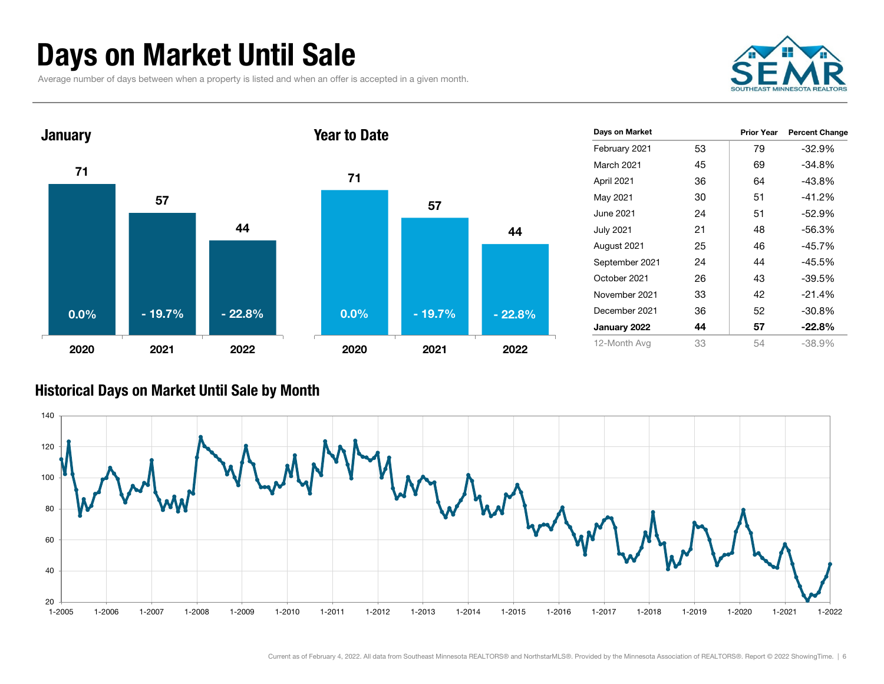# Days on Market Until Sale

Average number of days between when a property is listed and when an offer is accepted in a given month.





### Historical Days on Market Until Sale by Month

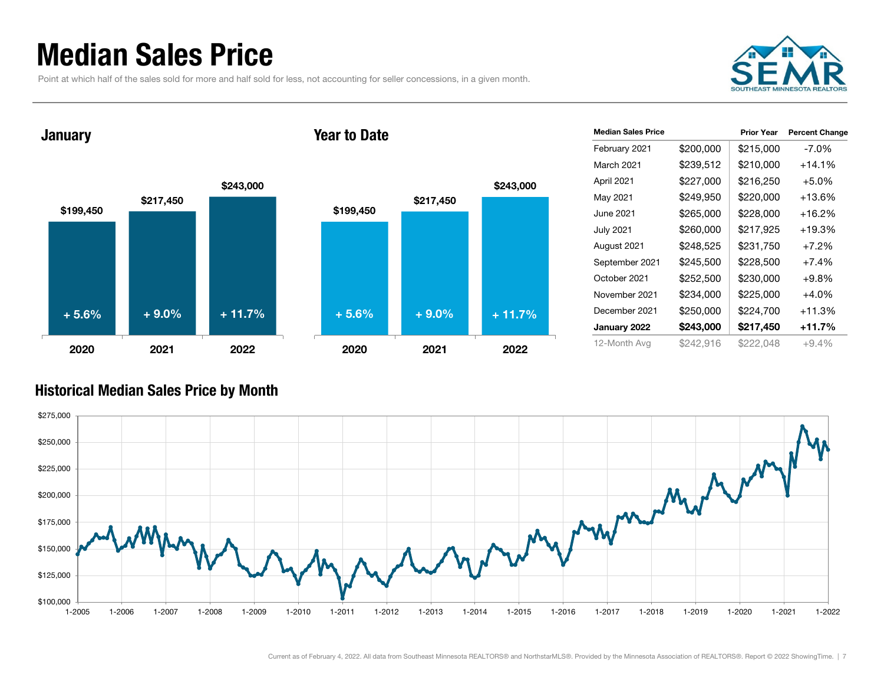### Median Sales Price

Point at which half of the sales sold for more and half sold for less, not accounting for seller concessions, in a given month.

![](_page_6_Picture_2.jpeg)

January

![](_page_6_Figure_4.jpeg)

![](_page_6_Figure_5.jpeg)

| <b>Median Sales Price</b> |           | <b>Prior Year</b> | <b>Percent Change</b> |
|---------------------------|-----------|-------------------|-----------------------|
| February 2021             | \$200,000 | \$215,000         | $-7.0\%$              |
| March 2021                | \$239,512 | \$210,000         | +14.1%                |
| April 2021                | \$227,000 | \$216,250         | $+5.0%$               |
| May 2021                  | \$249,950 | \$220,000         | +13.6%                |
| June 2021                 | \$265,000 | \$228,000         | +16.2%                |
| <b>July 2021</b>          | \$260,000 | \$217,925         | +19.3%                |
| August 2021               | \$248,525 | \$231,750         | $+7.2%$               |
| September 2021            | \$245,500 | \$228,500         | $+7.4%$               |
| October 2021              | \$252,500 | \$230,000         | $+9.8%$               |
| November 2021             | \$234,000 | \$225,000         | $+4.0%$               |
| December 2021             | \$250,000 | \$224,700         | +11.3%                |
| January 2022              | \$243,000 | \$217,450         | +11.7%                |
| 12-Month Avg              | \$242,916 | \$222,048         | $+9.4%$               |

### Historical Median Sales Price by Month

![](_page_6_Figure_8.jpeg)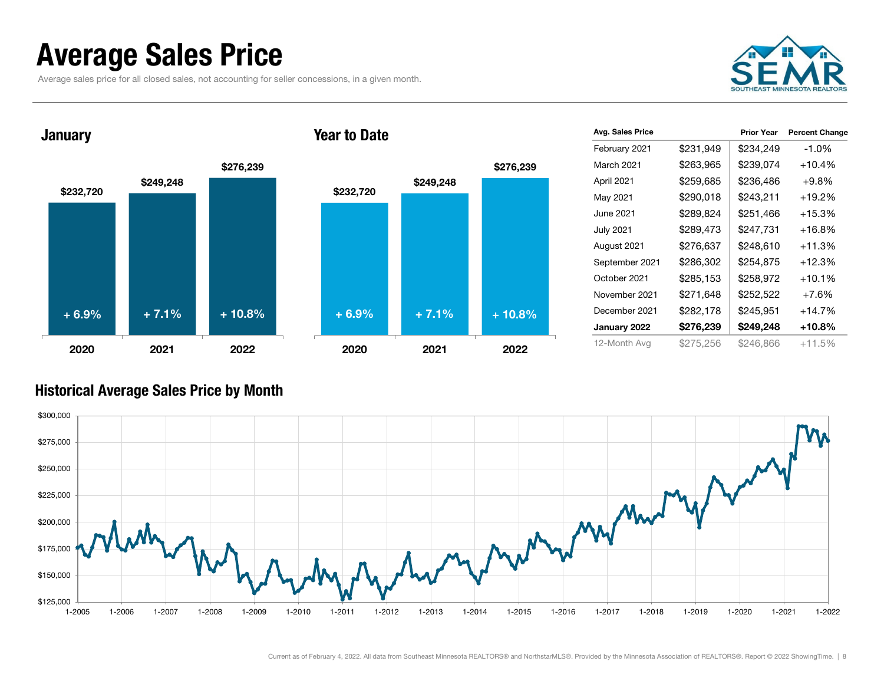### Average Sales Price

**January** 

Average sales price for all closed sales, not accounting for seller concessions, in a given month.

![](_page_7_Picture_2.jpeg)

![](_page_7_Figure_3.jpeg)

#### Year to Date

![](_page_7_Figure_5.jpeg)

| Avg. Sales Price |           | <b>Prior Year</b> | <b>Percent Change</b> |
|------------------|-----------|-------------------|-----------------------|
| February 2021    | \$231,949 | \$234,249         | $-1.0%$               |
| March 2021       | \$263,965 | \$239,074         | $+10.4%$              |
| April 2021       | \$259,685 | \$236,486         | $+9.8%$               |
| May 2021         | \$290,018 | \$243,211         | $+19.2\%$             |
| June 2021        | \$289,824 | \$251,466         | +15.3%                |
| <b>July 2021</b> | \$289,473 | \$247,731         | +16.8%                |
| August 2021      | \$276,637 | \$248,610         | $+11.3%$              |
| September 2021   | \$286,302 | \$254,875         | $+12.3%$              |
| October 2021     | \$285,153 | \$258,972         | +10.1%                |
| November 2021    | \$271,648 | \$252,522         | $+7.6%$               |
| December 2021    | \$282,178 | \$245,951         | $+14.7%$              |
| January 2022     | \$276,239 | \$249,248         | +10.8%                |
| 12-Month Avg     | \$275,256 | \$246,866         | $+11.5%$              |

#### Historical Average Sales Price by Month

![](_page_7_Figure_8.jpeg)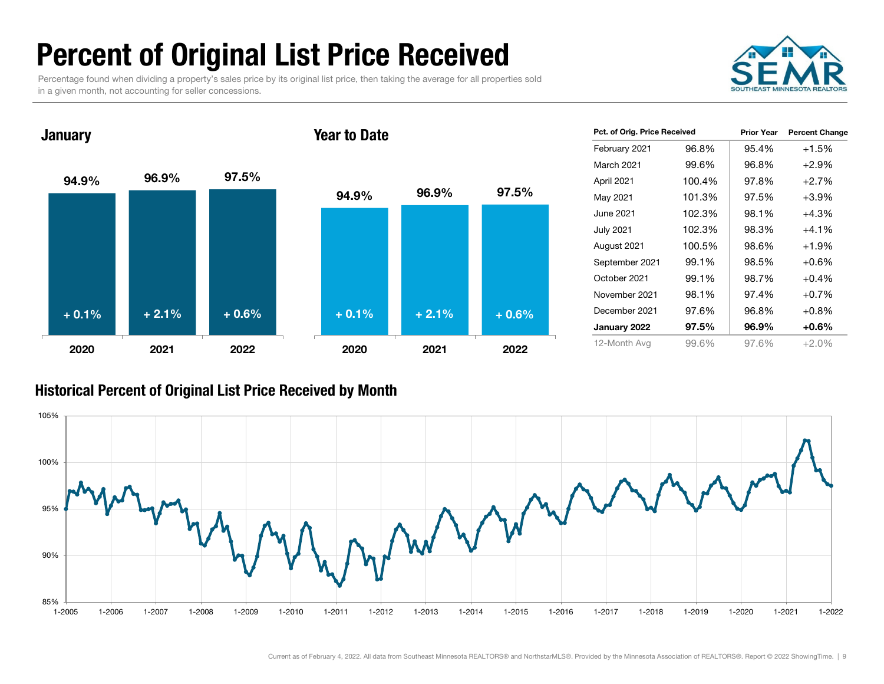# Percent of Original List Price Received

Percentage found when dividing a property's sales price by its original list price, then taking the average for all properties sold in a given month, not accounting for seller concessions.

![](_page_8_Picture_2.jpeg)

94.9% 96.9% 97.5% 2020 2021 2022**January** 94.9% 96.9% 97.5% 2020 2021 2022Year to Date $+ 0.1%$  $\%$  + 2.1% + 0.6% + 0.1% + 2.1% + 0.6%

| Pct. of Orig. Price Received |        | <b>Prior Year</b> | <b>Percent Change</b> |
|------------------------------|--------|-------------------|-----------------------|
| February 2021                | 96.8%  | 95.4%             | $+1.5%$               |
| March 2021                   | 99.6%  | 96.8%             | $+2.9%$               |
| April 2021                   | 100.4% | 97.8%             | $+2.7%$               |
| May 2021                     | 101.3% | 97.5%             | $+3.9%$               |
| June 2021                    | 102.3% | 98.1%             | +4.3%                 |
| July 2021                    | 102.3% | 98.3%             | $+4.1\%$              |
| August 2021                  | 100.5% | 98.6%             | $+1.9%$               |
| September 2021               | 99.1%  | 98.5%             | $+0.6%$               |
| October 2021                 | 99.1%  | 98.7%             | $+0.4%$               |
| November 2021                | 98.1%  | 97.4%             | $+0.7%$               |
| December 2021                | 97.6%  | 96.8%             | $+0.8%$               |
| January 2022                 | 97.5%  | 96.9%             | $+0.6\%$              |
| 12-Month Avg                 | 99.6%  | 97.6%             | $+2.0%$               |

### Historical Percent of Original List Price Received by Month

![](_page_8_Figure_6.jpeg)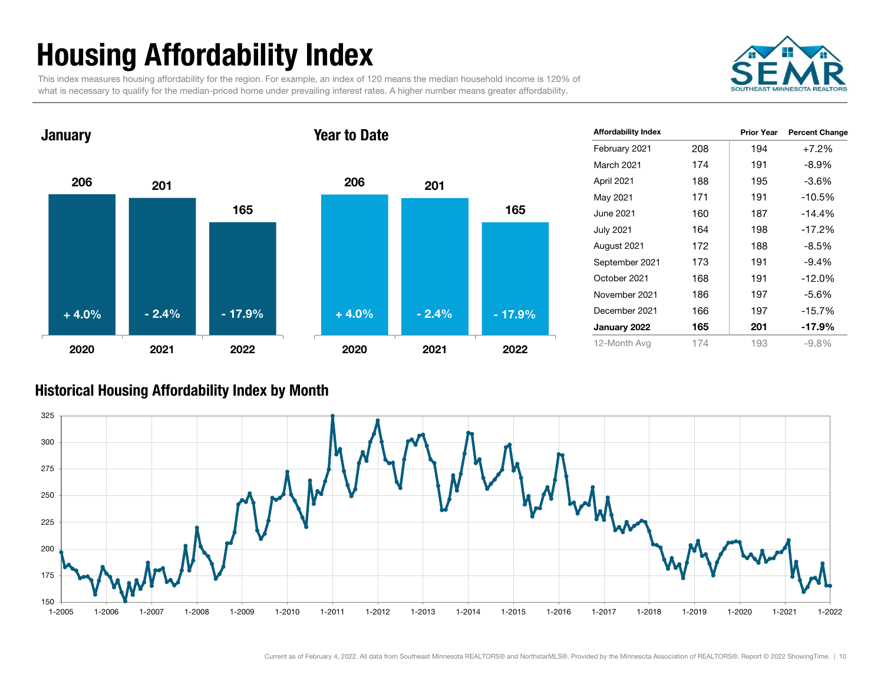# Housing Affordability Index

This index measures housing affordability for the region. For example, an index of 120 means the median household income is 120% of what is necessary to qualify for the median-priced home under prevailing interest rates. A higher number means greater affordability.

![](_page_9_Picture_2.jpeg)

### 206 2011652020 2021 2022**January** 206 2011652020 2021 2022Year to Date+ 4.0% $-2.4\%$  - 17.9% + 4.0% - 2.4% - 17.9%

| <b>Affordability Index</b> |     | <b>Prior Year</b> | <b>Percent Change</b> |
|----------------------------|-----|-------------------|-----------------------|
| February 2021              | 208 | 194               | $+7.2%$               |
| <b>March 2021</b>          | 174 | 191               | $-8.9\%$              |
| April 2021                 | 188 | 195               | $-3.6%$               |
| May 2021                   | 171 | 191               | -10.5%                |
| June 2021                  | 160 | 187               | -14.4%                |
| <b>July 2021</b>           | 164 | 198               | -17.2%                |
| August 2021                | 172 | 188               | -8.5%                 |
| September 2021             | 173 | 191               | $-9.4%$               |
| October 2021               | 168 | 191               | $-12.0\%$             |
| November 2021              | 186 | 197               | $-5.6\%$              |
| December 2021              | 166 | 197               | -15.7%                |
| January 2022               | 165 | 201               | -17.9%                |
| 12-Month Avg               | 174 | 193               | $-9.8%$               |

#### Historical Housing Affordability Index by Mont h

![](_page_9_Figure_6.jpeg)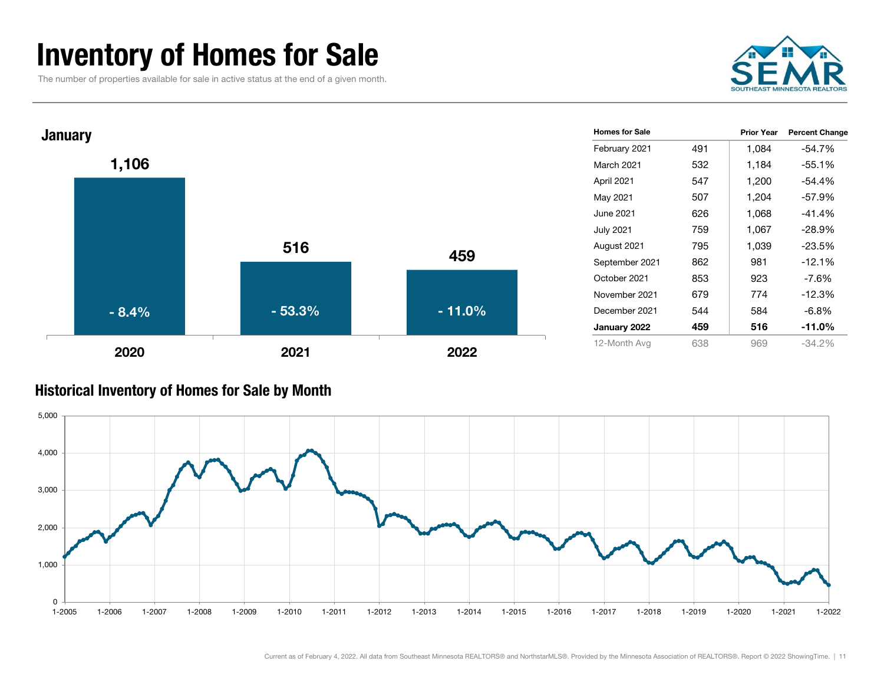### Inventory of Homes for Sale

The number of properties available for sale in active status at the end of a given month.

![](_page_10_Picture_2.jpeg)

![](_page_10_Figure_3.jpeg)

#### Historical Inventory of Homes for Sale by Month

![](_page_10_Figure_5.jpeg)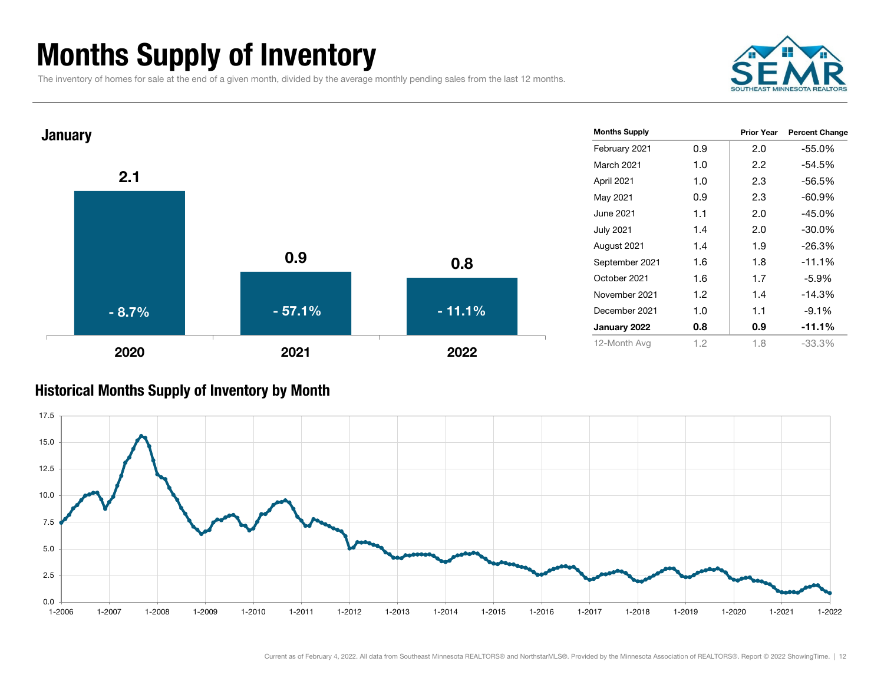# Months Supply of Inventory

The inventory of homes for sale at the end of a given month, divided by the average monthly pending sales from the last 12 months.

![](_page_11_Picture_2.jpeg)

![](_page_11_Figure_3.jpeg)

#### Historical Months Supply of Inventory by Month

![](_page_11_Figure_5.jpeg)